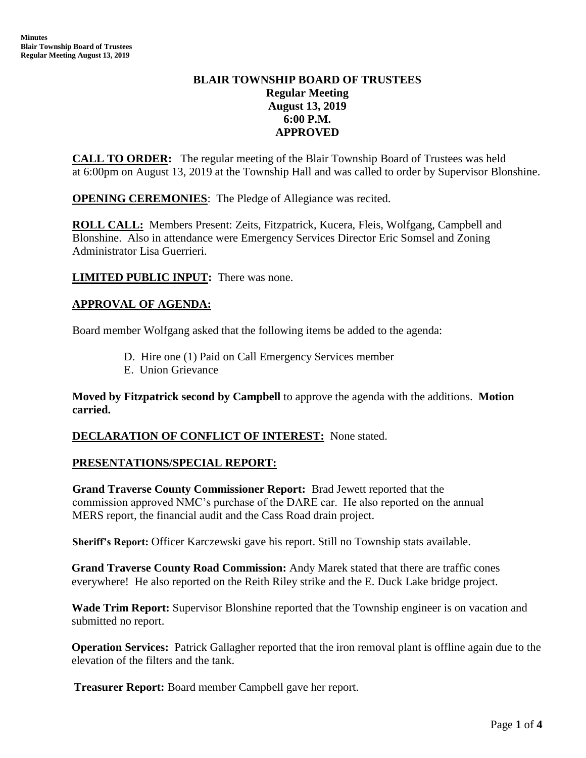# **BLAIR TOWNSHIP BOARD OF TRUSTEES Regular Meeting August 13, 2019 6:00 P.M. APPROVED**

**CALL TO ORDER:** The regular meeting of the Blair Township Board of Trustees was held at 6:00pm on August 13, 2019 at the Township Hall and was called to order by Supervisor Blonshine.

**OPENING CEREMONIES**: The Pledge of Allegiance was recited.

**ROLL CALL:** Members Present: Zeits, Fitzpatrick, Kucera, Fleis, Wolfgang, Campbell and Blonshine. Also in attendance were Emergency Services Director Eric Somsel and Zoning Administrator Lisa Guerrieri.

**LIMITED PUBLIC INPUT:** There was none.

## **APPROVAL OF AGENDA:**

Board member Wolfgang asked that the following items be added to the agenda:

- D. Hire one (1) Paid on Call Emergency Services member
- E. Union Grievance

**Moved by Fitzpatrick second by Campbell** to approve the agenda with the additions. **Motion carried.**

### **DECLARATION OF CONFLICT OF INTEREST:** None stated.

### **PRESENTATIONS/SPECIAL REPORT:**

**Grand Traverse County Commissioner Report:** Brad Jewett reported that the commission approved NMC's purchase of the DARE car. He also reported on the annual MERS report, the financial audit and the Cass Road drain project.

**Sheriff's Report:** Officer Karczewski gave his report. Still no Township stats available.

**Grand Traverse County Road Commission:** Andy Marek stated that there are traffic cones everywhere! He also reported on the Reith Riley strike and the E. Duck Lake bridge project.

**Wade Trim Report:** Supervisor Blonshine reported that the Township engineer is on vacation and submitted no report.

**Operation Services:** Patrick Gallagher reported that the iron removal plant is offline again due to the elevation of the filters and the tank.

 **Treasurer Report:** Board member Campbell gave her report.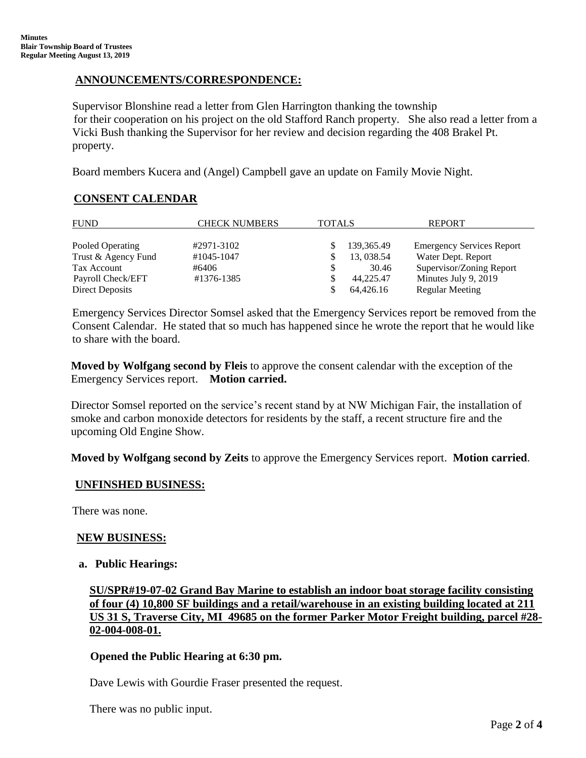## **ANNOUNCEMENTS/CORRESPONDENCE:**

Supervisor Blonshine read a letter from Glen Harrington thanking the township for their cooperation on his project on the old Stafford Ranch property. She also read a letter from a Vicki Bush thanking the Supervisor for her review and decision regarding the 408 Brakel Pt. property.

Board members Kucera and (Angel) Campbell gave an update on Family Movie Night.

# **CONSENT CALENDAR**

| <b>FUND</b>            | <b>CHECK NUMBERS</b> | <b>TOTALS</b> |              | <b>REPORT</b>                    |  |  |
|------------------------|----------------------|---------------|--------------|----------------------------------|--|--|
|                        |                      |               |              |                                  |  |  |
| Pooled Operating       | #2971-3102           |               | 139, 365. 49 | <b>Emergency Services Report</b> |  |  |
| Trust & Agency Fund    | #1045-1047           |               | 13, 038.54   | Water Dept. Report               |  |  |
| Tax Account            | #6406                |               | 30.46        | Supervisor/Zoning Report         |  |  |
| Payroll Check/EFT      | #1376-1385           |               | 44.225.47    | Minutes July 9, 2019             |  |  |
| <b>Direct Deposits</b> |                      |               | 64,426.16    | <b>Regular Meeting</b>           |  |  |

Emergency Services Director Somsel asked that the Emergency Services report be removed from the Consent Calendar. He stated that so much has happened since he wrote the report that he would like to share with the board.

**Moved by Wolfgang second by Fleis** to approve the consent calendar with the exception of the Emergency Services report. **Motion carried.** 

Director Somsel reported on the service's recent stand by at NW Michigan Fair, the installation of smoke and carbon monoxide detectors for residents by the staff, a recent structure fire and the upcoming Old Engine Show.

**Moved by Wolfgang second by Zeits** to approve the Emergency Services report. **Motion carried**.

### **UNFINSHED BUSINESS:**

There was none.

### **NEW BUSINESS:**

#### **a. Public Hearings:**

**SU/SPR#19-07-02 Grand Bay Marine to establish an indoor boat storage facility consisting of four (4) 10,800 SF buildings and a retail/warehouse in an existing building located at 211 US 31 S, Traverse City, MI 49685 on the former Parker Motor Freight building, parcel #28- 02-004-008-01.**

### **Opened the Public Hearing at 6:30 pm.**

Dave Lewis with Gourdie Fraser presented the request.

There was no public input.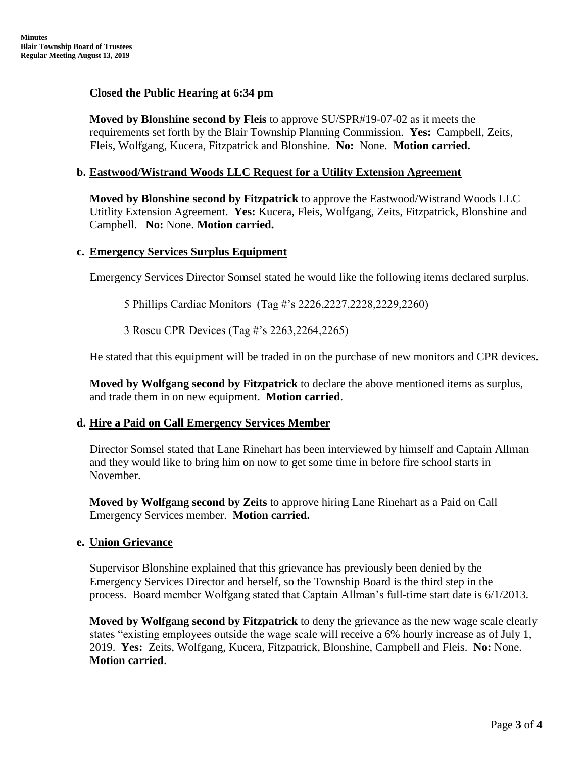### **Closed the Public Hearing at 6:34 pm**

**Moved by Blonshine second by Fleis** to approve SU/SPR#19-07-02 as it meets the requirements set forth by the Blair Township Planning Commission. **Yes:** Campbell, Zeits, Fleis, Wolfgang, Kucera, Fitzpatrick and Blonshine. **No:** None. **Motion carried.**

### **b. Eastwood/Wistrand Woods LLC Request for a Utility Extension Agreement**

**Moved by Blonshine second by Fitzpatrick** to approve the Eastwood/Wistrand Woods LLC Utitlity Extension Agreement. **Yes:** Kucera, Fleis, Wolfgang, Zeits, Fitzpatrick, Blonshine and Campbell. **No:** None. **Motion carried.**

### **c. Emergency Services Surplus Equipment**

Emergency Services Director Somsel stated he would like the following items declared surplus.

5 Phillips Cardiac Monitors (Tag #'s 2226,2227,2228,2229,2260)

3 Roscu CPR Devices (Tag #'s 2263,2264,2265)

He stated that this equipment will be traded in on the purchase of new monitors and CPR devices.

**Moved by Wolfgang second by Fitzpatrick** to declare the above mentioned items as surplus, and trade them in on new equipment. **Motion carried**.

### **d. Hire a Paid on Call Emergency Services Member**

Director Somsel stated that Lane Rinehart has been interviewed by himself and Captain Allman and they would like to bring him on now to get some time in before fire school starts in November.

**Moved by Wolfgang second by Zeits** to approve hiring Lane Rinehart as a Paid on Call Emergency Services member. **Motion carried.**

### **e. Union Grievance**

Supervisor Blonshine explained that this grievance has previously been denied by the Emergency Services Director and herself, so the Township Board is the third step in the process. Board member Wolfgang stated that Captain Allman's full-time start date is 6/1/2013.

**Moved by Wolfgang second by Fitzpatrick** to deny the grievance as the new wage scale clearly states "existing employees outside the wage scale will receive a 6% hourly increase as of July 1, 2019. **Yes:** Zeits, Wolfgang, Kucera, Fitzpatrick, Blonshine, Campbell and Fleis. **No:** None. **Motion carried**.